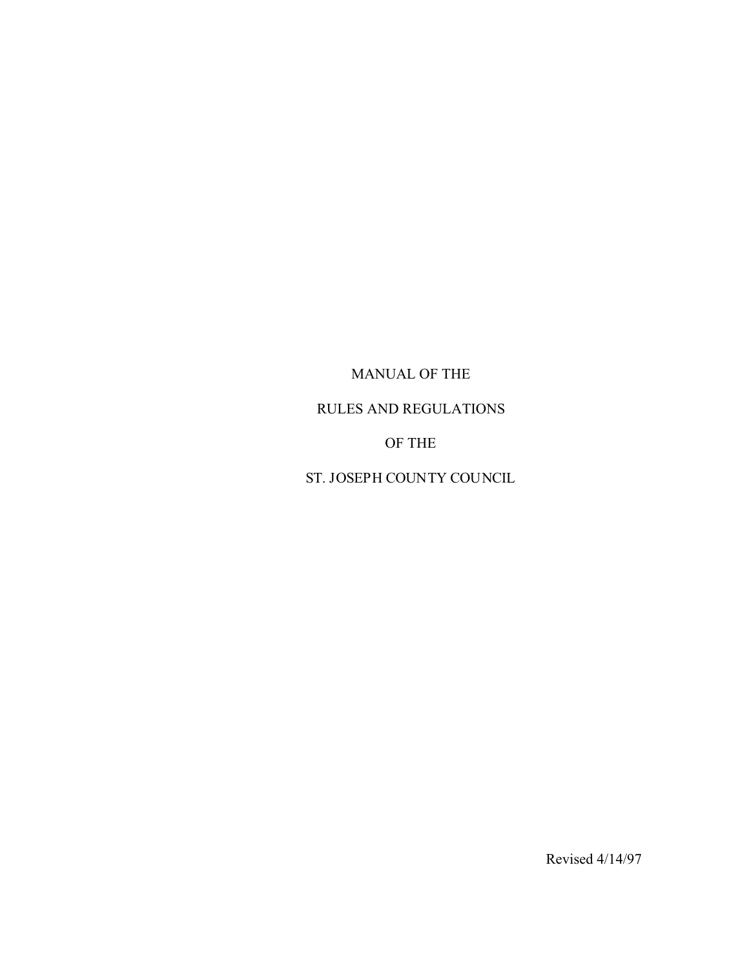MANUAL OF THE

RULES AND REGULATIONS

OF THE

ST. JOSEPH COUNTY COUNCIL

Revised 4/14/97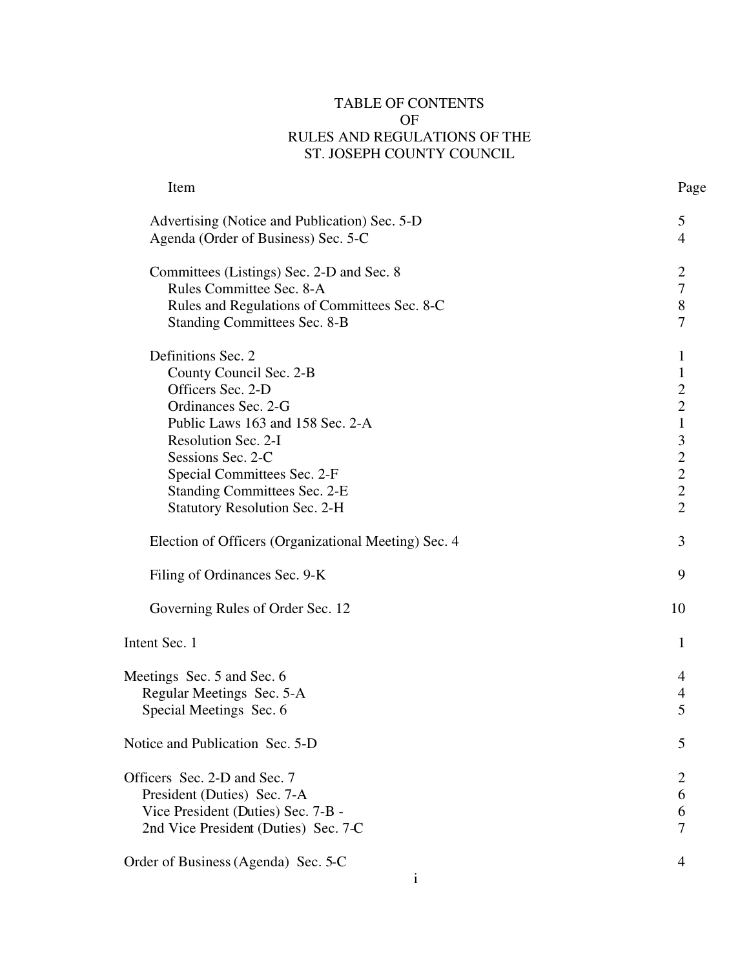# TABLE OF CONTENTS OF RULES AND REGULATIONS OF THE ST. JOSEPH COUNTY COUNCIL

| Item                                                 | Page                     |
|------------------------------------------------------|--------------------------|
| Advertising (Notice and Publication) Sec. 5-D        | 5                        |
| Agenda (Order of Business) Sec. 5-C                  | $\overline{4}$           |
| Committees (Listings) Sec. 2-D and Sec. 8            | $\overline{2}$           |
| Rules Committee Sec. 8-A                             | $\boldsymbol{7}$         |
| Rules and Regulations of Committees Sec. 8-C         | $\,8\,$                  |
| <b>Standing Committees Sec. 8-B</b>                  | $\overline{7}$           |
| Definitions Sec. 2                                   | 1                        |
| County Council Sec. 2-B                              | $\mathbf{1}$             |
| Officers Sec. 2-D                                    | 2213222                  |
| Ordinances Sec. 2-G                                  |                          |
| Public Laws 163 and 158 Sec. 2-A                     |                          |
| Resolution Sec. 2-I                                  |                          |
| Sessions Sec. 2-C                                    |                          |
| Special Committees Sec. 2-F                          |                          |
| <b>Standing Committees Sec. 2-E</b>                  |                          |
| <b>Statutory Resolution Sec. 2-H</b>                 |                          |
| Election of Officers (Organizational Meeting) Sec. 4 | 3                        |
| Filing of Ordinances Sec. 9-K                        | 9                        |
| Governing Rules of Order Sec. 12                     | 10                       |
| Intent Sec. 1                                        | 1                        |
| Meetings Sec. 5 and Sec. 6                           | 4                        |
| Regular Meetings Sec. 5-A                            | $\overline{\mathcal{A}}$ |
| Special Meetings Sec. 6                              | 5                        |
| Notice and Publication Sec. 5-D                      | 5                        |
| Officers Sec. 2-D and Sec. 7                         | $\overline{2}$           |
| President (Duties) Sec. 7-A                          | 6                        |
| Vice President (Duties) Sec. 7-B -                   | 6                        |
| 2nd Vice President (Duties) Sec. 7-C                 | $\overline{7}$           |
| Order of Business (Agenda) Sec. 5-C                  | $\overline{4}$           |
| 1                                                    |                          |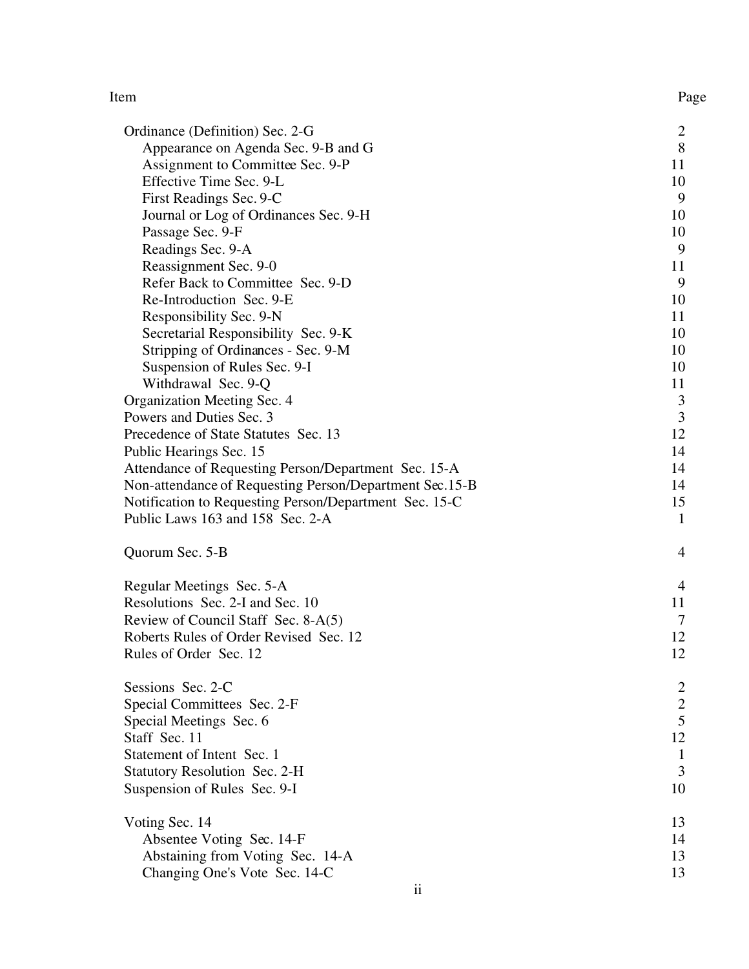#### Item Page

| Ordinance (Definition) Sec. 2-G                         | $\overline{c}$          |
|---------------------------------------------------------|-------------------------|
| Appearance on Agenda Sec. 9-B and G                     | 8                       |
| Assignment to Committee Sec. 9-P                        | 11                      |
| Effective Time Sec. 9-L                                 | 10                      |
| First Readings Sec. 9-C                                 | 9                       |
| Journal or Log of Ordinances Sec. 9-H                   | 10                      |
| Passage Sec. 9-F                                        | 10                      |
| Readings Sec. 9-A                                       | 9                       |
| Reassignment Sec. 9-0                                   | 11                      |
| Refer Back to Committee Sec. 9-D                        | 9                       |
| Re-Introduction Sec. 9-E                                | 10                      |
| Responsibility Sec. 9-N                                 | 11                      |
| Secretarial Responsibility Sec. 9-K                     | 10                      |
| Stripping of Ordinances - Sec. 9-M                      | 10                      |
| Suspension of Rules Sec. 9-I                            | 10                      |
| Withdrawal Sec. 9-Q                                     | 11                      |
| Organization Meeting Sec. 4                             | $\overline{3}$          |
| Powers and Duties Sec. 3                                | $\overline{3}$          |
| Precedence of State Statutes Sec. 13                    | 12                      |
| Public Hearings Sec. 15                                 | 14                      |
| Attendance of Requesting Person/Department Sec. 15-A    | 14                      |
| Non-attendance of Requesting Person/Department Sec.15-B | 14                      |
| Notification to Requesting Person/Department Sec. 15-C  | 15                      |
| Public Laws 163 and 158 Sec. 2-A                        | $\mathbf{1}$            |
| Quorum Sec. 5-B                                         | $\overline{4}$          |
| Regular Meetings Sec. 5-A                               | $\overline{4}$          |
| Resolutions Sec. 2-I and Sec. 10                        | 11                      |
| Review of Council Staff Sec. 8-A(5)                     | $\overline{7}$          |
| Roberts Rules of Order Revised Sec. 12                  | 12                      |
| Rules of Order Sec. 12                                  | 12                      |
| Sessions Sec. 2-C                                       | $\overline{\mathbf{c}}$ |
| Special Committees Sec. 2-F                             | $\overline{c}$          |
| Special Meetings Sec. 6                                 | 5                       |
| Staff Sec. 11                                           | 12                      |
| Statement of Intent Sec. 1                              | 1                       |
| <b>Statutory Resolution Sec. 2-H</b>                    | 3                       |
| Suspension of Rules Sec. 9-I                            | 10                      |
| Voting Sec. 14                                          | 13                      |
| Absentee Voting Sec. 14-F                               | 14                      |
| Abstaining from Voting Sec. 14-A                        | 13                      |
| Changing One's Vote Sec. 14-C                           | 13                      |
|                                                         |                         |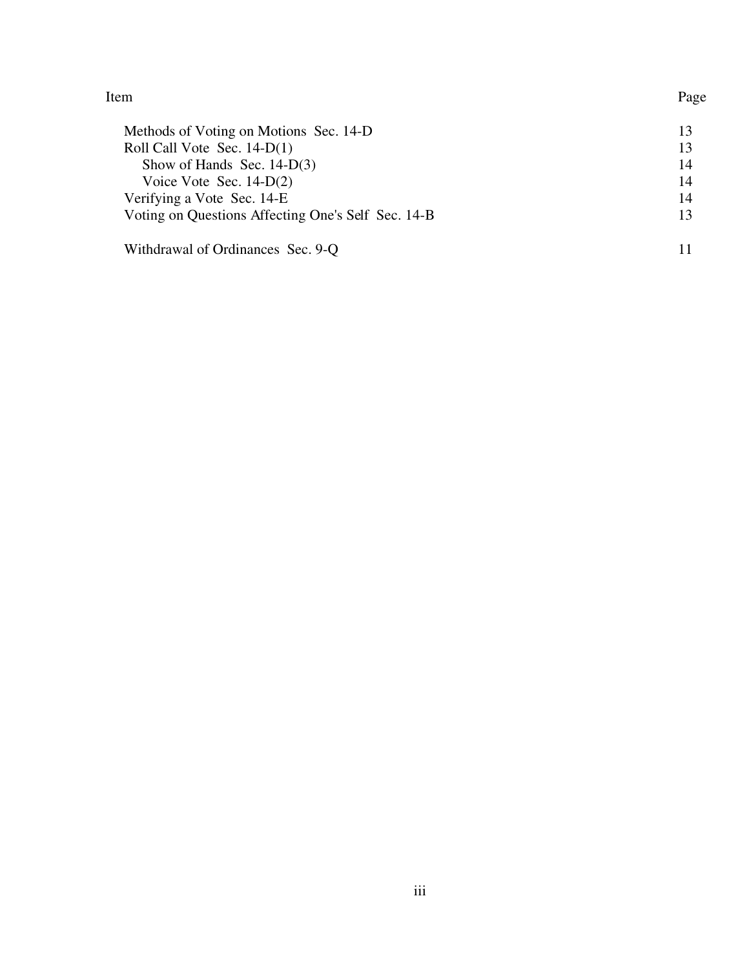Item Page

| Methods of Voting on Motions Sec. 14-D             | 13 |
|----------------------------------------------------|----|
| Roll Call Vote Sec. $14-D(1)$                      | 13 |
| Show of Hands Sec. $14-D(3)$                       | 14 |
| Voice Vote Sec. $14-D(2)$                          | 14 |
| Verifying a Vote Sec. 14-E                         | 14 |
| Voting on Questions Affecting One's Self Sec. 14-B | 13 |
| Withdrawal of Ordinances Sec. 9-Q                  |    |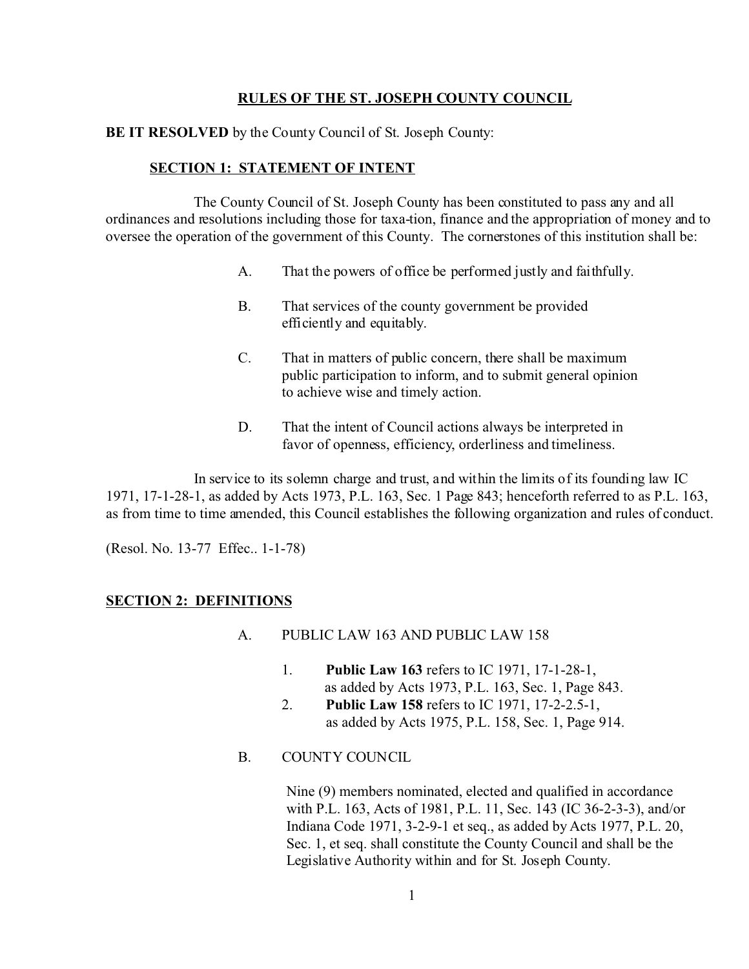# **RULES OF THE ST. JOSEPH COUNTY COUNCIL**

# **BE IT RESOLVED** by the County Council of St. Joseph County:

# **SECTION 1: STATEMENT OF INTENT**

The County Council of St. Joseph County has been constituted to pass any and all ordinances and resolutions including those for taxa-tion, finance and the appropriation of money and to oversee the operation of the government of this County. The cornerstones of this institution shall be:

- A. That the powers of office be performed justly and faithfully.
- B. That services of the county government be provided efficiently and equitably.
- C. That in matters of public concern, there shall be maximum public participation to inform, and to submit general opinion to achieve wise and timely action.
- D. That the intent of Council actions always be interpreted in favor of openness, efficiency, orderliness and timeliness.

In service to its solemn charge and trust, and within the limits of its founding law IC 1971, 17-1-28-1, as added by Acts 1973, P.L. 163, Sec. 1 Page 843; henceforth referred to as P.L. 163, as from time to time amended, this Council establishes the following organization and rules of conduct.

(Resol. No. 13-77 Effec.. 1-1-78)

# **SECTION 2: DEFINITIONS**

- A. PUBLIC LAW 163 AND PUBLIC LAW 158
	- 1. **Public Law 163** refers to IC 1971, 17-1-28-1, as added by Acts 1973, P.L. 163, Sec. 1, Page 843.
	- 2. **Public Law 158** refers to IC 1971, 17-2-2.5-1, as added by Acts 1975, P.L. 158, Sec. 1, Page 914.
- B. COUNTY COUNCIL

 Nine (9) members nominated, elected and qualified in accordance with P.L. 163, Acts of 1981, P.L. 11, Sec. 143 (IC 36-2-3-3), and/or Indiana Code 1971, 3-2-9-1 et seq., as added by Acts 1977, P.L. 20, Sec. 1, et seq. shall constitute the County Council and shall be the Legislative Authority within and for St. Joseph County.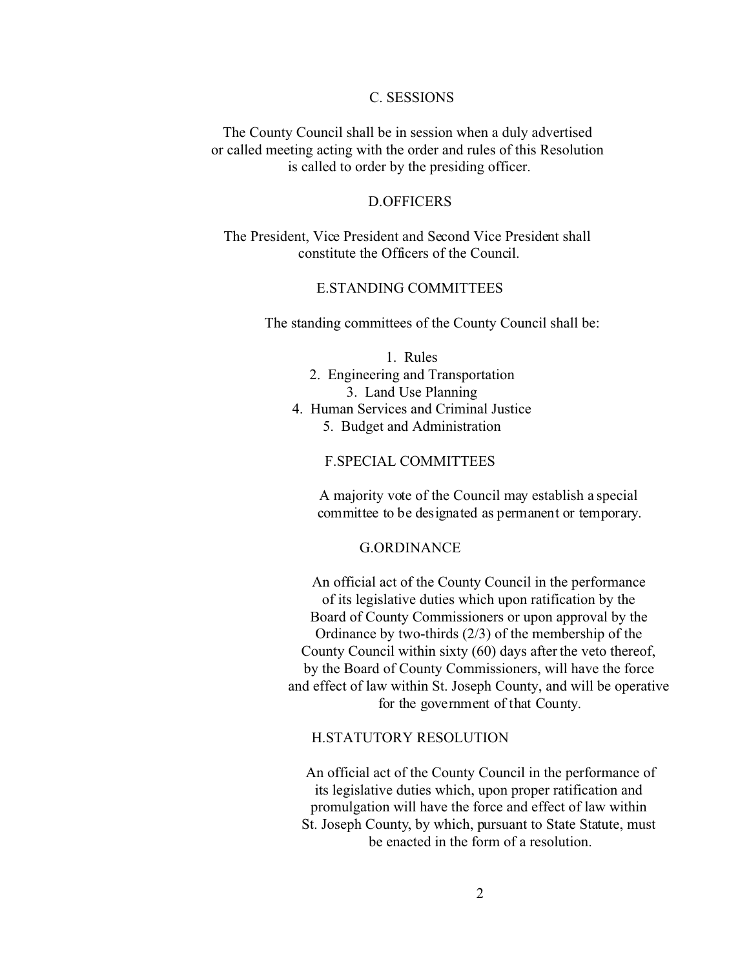## C. SESSIONS

The County Council shall be in session when a duly advertised or called meeting acting with the order and rules of this Resolution is called to order by the presiding officer.

## D.OFFICERS

The President, Vice President and Second Vice President shall constitute the Officers of the Council.

# E.STANDING COMMITTEES

The standing committees of the County Council shall be:

#### 1. Rules

- 2. Engineering and Transportation 3. Land Use Planning
- 4. Human Services and Criminal Justice
	- 5. Budget and Administration

#### F.SPECIAL COMMITTEES

A majority vote of the Council may establish a special committee to be designated as permanent or temporary.

#### G.ORDINANCE

An official act of the County Council in the performance of its legislative duties which upon ratification by the Board of County Commissioners or upon approval by the Ordinance by two-thirds (2/3) of the membership of the County Council within sixty (60) days after the veto thereof, by the Board of County Commissioners, will have the force and effect of law within St. Joseph County, and will be operative for the government of that County.

#### H.STATUTORY RESOLUTION

An official act of the County Council in the performance of its legislative duties which, upon proper ratification and promulgation will have the force and effect of law within St. Joseph County, by which, pursuant to State Statute, must be enacted in the form of a resolution.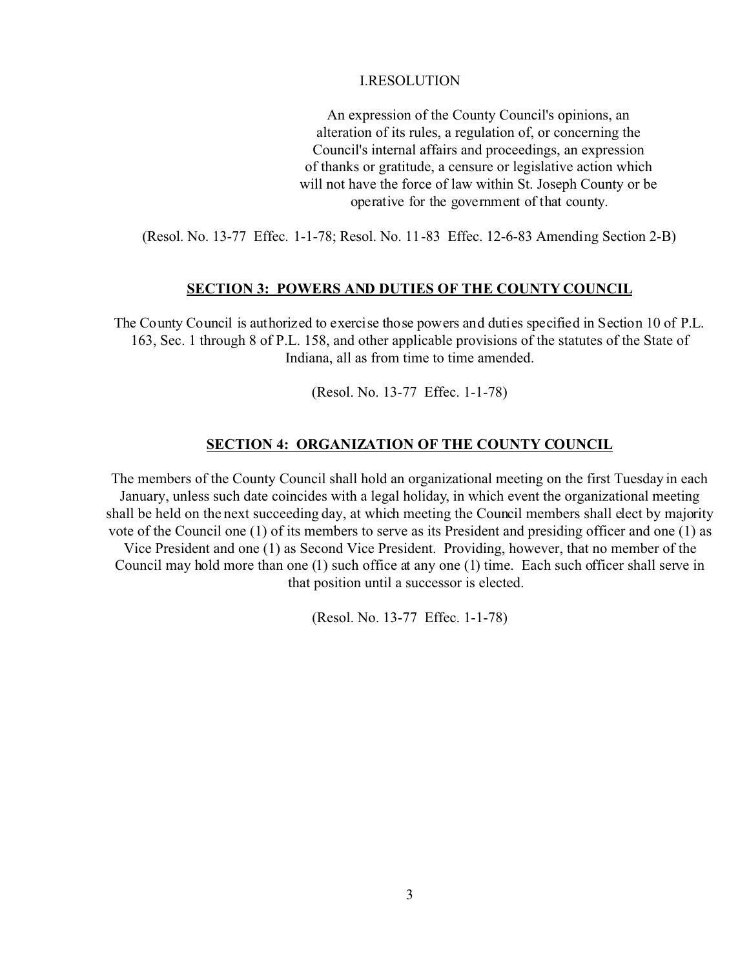## I.RESOLUTION

An expression of the County Council's opinions, an alteration of its rules, a regulation of, or concerning the Council's internal affairs and proceedings, an expression of thanks or gratitude, a censure or legislative action which will not have the force of law within St. Joseph County or be operative for the government of that county.

(Resol. No. 13-77 Effec. 1-1-78; Resol. No. 11-83 Effec. 12-6-83 Amending Section 2-B)

#### **SECTION 3: POWERS AND DUTIES OF THE COUNTY COUNCIL**

The County Council is authorized to exercise those powers and duties specified in Section 10 of P.L. 163, Sec. 1 through 8 of P.L. 158, and other applicable provisions of the statutes of the State of Indiana, all as from time to time amended.

(Resol. No. 13-77 Effec. 1-1-78)

#### **SECTION 4: ORGANIZATION OF THE COUNTY COUNCIL**

The members of the County Council shall hold an organizational meeting on the first Tuesday in each January, unless such date coincides with a legal holiday, in which event the organizational meeting shall be held on the next succeeding day, at which meeting the Council members shall elect by majority vote of the Council one (1) of its members to serve as its President and presiding officer and one (1) as Vice President and one (1) as Second Vice President. Providing, however, that no member of the Council may hold more than one (1) such office at any one (1) time. Each such officer shall serve in that position until a successor is elected.

(Resol. No. 13-77 Effec. 1-1-78)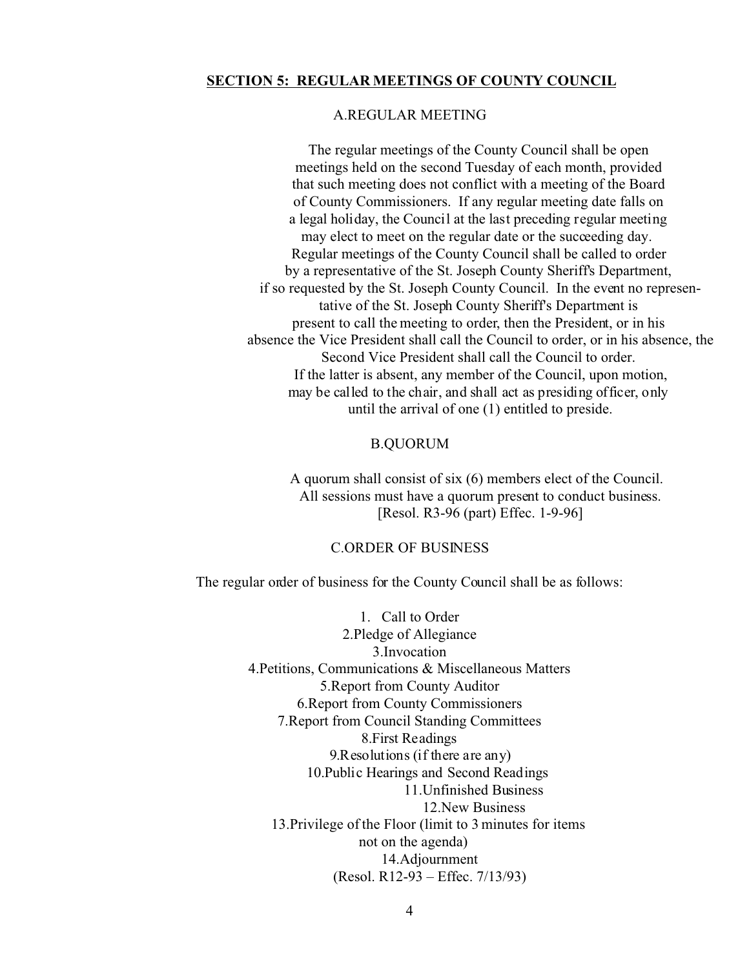## **SECTION 5: REGULAR MEETINGS OF COUNTY COUNCIL**

# A.REGULAR MEETING

The regular meetings of the County Council shall be open meetings held on the second Tuesday of each month, provided that such meeting does not conflict with a meeting of the Board of County Commissioners. If any regular meeting date falls on a legal holiday, the Council at the last preceding regular meeting may elect to meet on the regular date or the succeeding day. Regular meetings of the County Council shall be called to order by a representative of the St. Joseph County Sheriff's Department, if so requested by the St. Joseph County Council. In the event no representative of the St. Joseph County Sheriff's Department is present to call the meeting to order, then the President, or in his absence the Vice President shall call the Council to order, or in his absence, the Second Vice President shall call the Council to order. If the latter is absent, any member of the Council, upon motion, may be called to the chair, and shall act as presiding officer, only until the arrival of one (1) entitled to preside.

#### B.QUORUM

A quorum shall consist of six (6) members elect of the Council. All sessions must have a quorum present to conduct business. [Resol. R3-96 (part) Effec. 1-9-96]

## C.ORDER OF BUSINESS

The regular order of business for the County Council shall be as follows:

1. Call to Order 2.Pledge of Allegiance 3.Invocation 4.Petitions, Communications & Miscellaneous Matters 5.Report from County Auditor 6.Report from County Commissioners 7.Report from Council Standing Committees 8.First Readings 9.Resolutions (if there are any) 10.Public Hearings and Second Readings 11.Unfinished Business 12.New Business 13.Privilege of the Floor (limit to 3 minutes for items not on the agenda) 14.Adjournment (Resol. R12-93 – Effec. 7/13/93)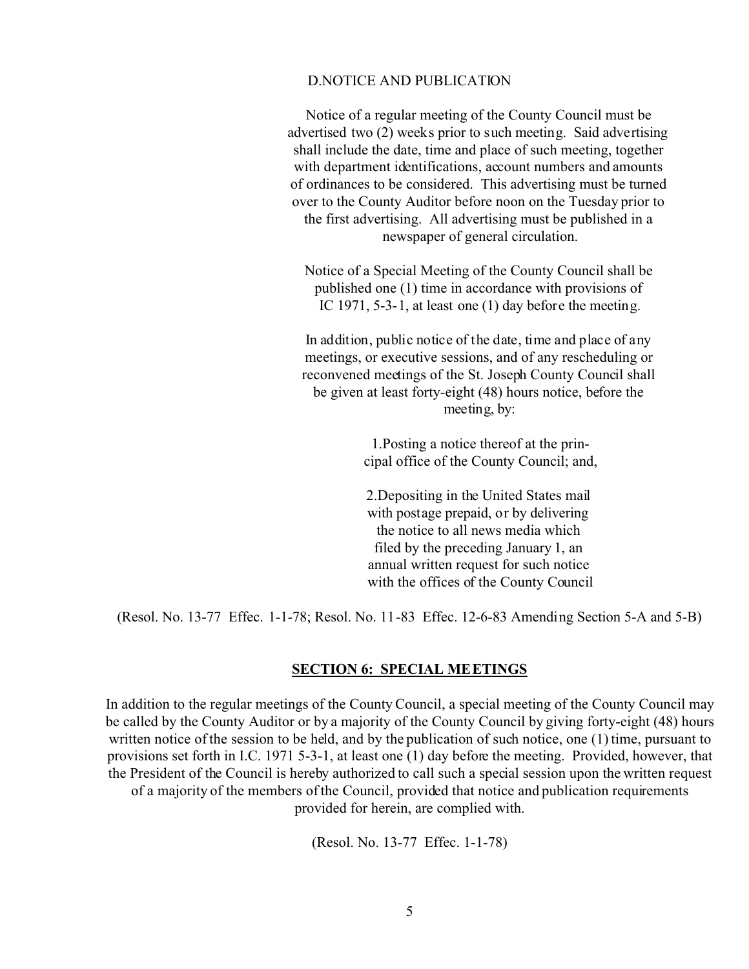## D.NOTICE AND PUBLICATION

Notice of a regular meeting of the County Council must be advertised two (2) weeks prior to such meeting. Said advertising shall include the date, time and place of such meeting, together with department identifications, account numbers and amounts of ordinances to be considered. This advertising must be turned over to the County Auditor before noon on the Tuesday prior to the first advertising. All advertising must be published in a newspaper of general circulation.

Notice of a Special Meeting of the County Council shall be published one (1) time in accordance with provisions of IC 1971, 5-3-1, at least one (1) day before the meeting.

In addition, public notice of the date, time and place of any meetings, or executive sessions, and of any rescheduling or reconvened meetings of the St. Joseph County Council shall be given at least forty-eight (48) hours notice, before the meeting, by:

> 1.Posting a notice thereof at the principal office of the County Council; and,

2.Depositing in the United States mail with postage prepaid, or by delivering the notice to all news media which filed by the preceding January 1, an annual written request for such notice with the offices of the County Council

(Resol. No. 13-77 Effec. 1-1-78; Resol. No. 11-83 Effec. 12-6-83 Amending Section 5-A and 5-B)

#### **SECTION 6: SPECIAL MEETINGS**

In addition to the regular meetings of the County Council, a special meeting of the County Council may be called by the County Auditor or by a majority of the County Council by giving forty-eight (48) hours written notice of the session to be held, and by the publication of such notice, one (1) time, pursuant to provisions set forth in I.C. 1971 5-3-1, at least one (1) day before the meeting. Provided, however, that the President of the Council is hereby authorized to call such a special session upon the written request of a majority of the members of the Council, provided that notice and publication requirements provided for herein, are complied with.

(Resol. No. 13-77 Effec. 1-1-78)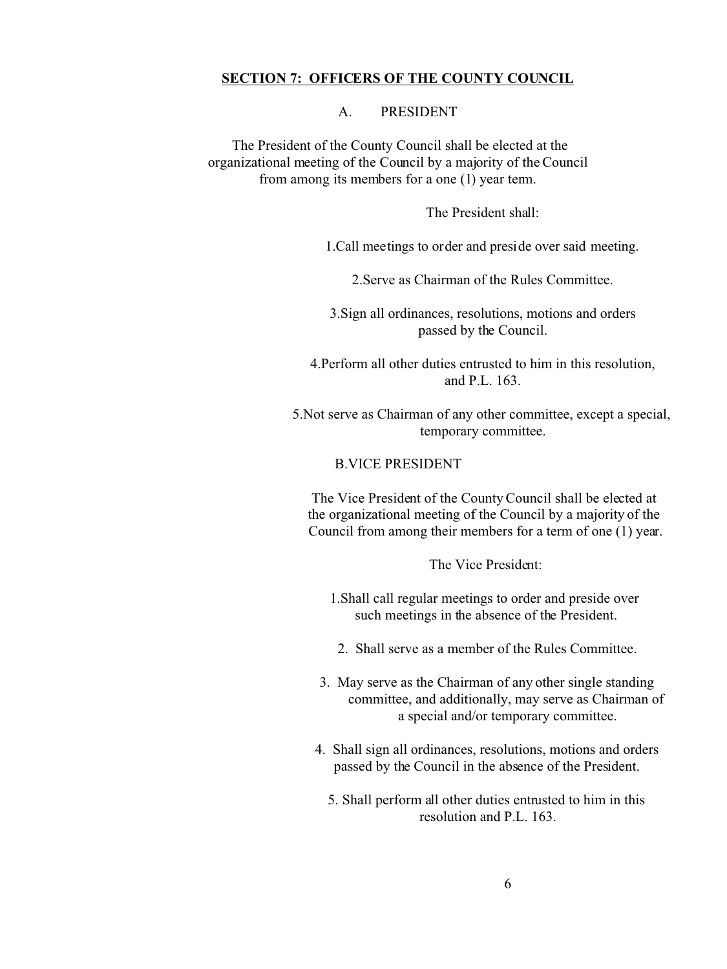# **SECTION 7: OFFICERS OF THE COUNTY COUNCIL**

A. PRESIDENT

 The President of the County Council shall be elected at the organizational meeting of the Council by a majority of the Council from among its members for a one (1) year term.

The President shall:

1.Call meetings to order and preside over said meeting.

2.Serve as Chairman of the Rules Committee.

3.Sign all ordinances, resolutions, motions and orders passed by the Council.

4.Perform all other duties entrusted to him in this resolution, and P.L. 163.

5.Not serve as Chairman of any other committee, except a special, temporary committee.

# B.VICE PRESIDENT

The Vice President of the County Council shall be elected at the organizational meeting of the Council by a majority of the Council from among their members for a term of one (1) year.

The Vice President:

- 1.Shall call regular meetings to order and preside over such meetings in the absence of the President.
- 2. Shall serve as a member of the Rules Committee.
- 3. May serve as the Chairman of any other single standing committee, and additionally, may serve as Chairman of a special and/or temporary committee.
- 4. Shall sign all ordinances, resolutions, motions and orders passed by the Council in the absence of the President.
	- 5. Shall perform all other duties entrusted to him in this resolution and P.L. 163.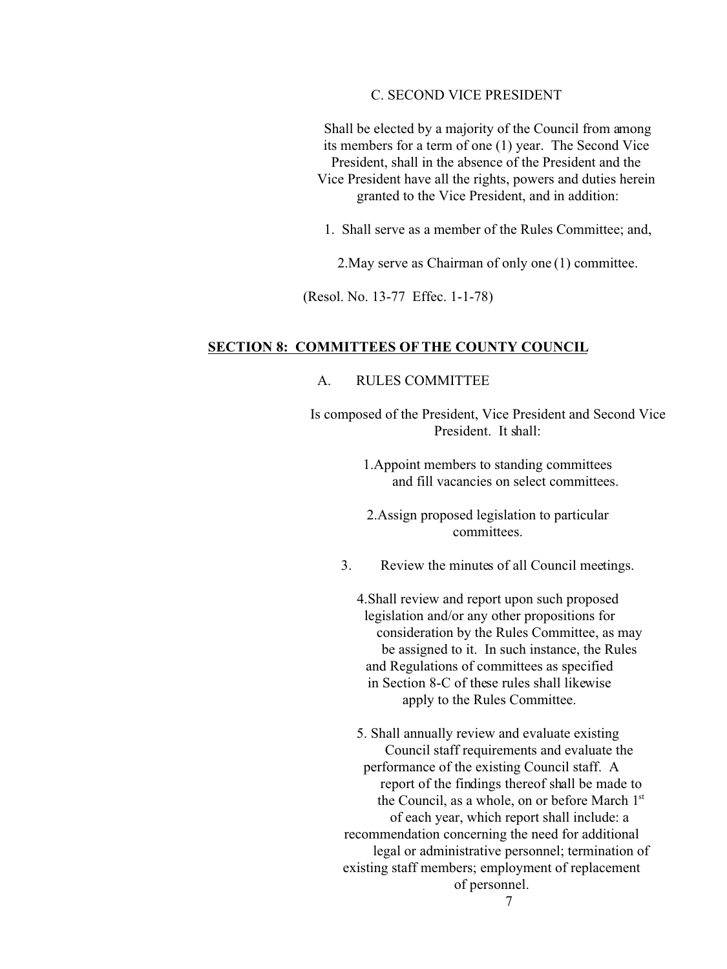# C. SECOND VICE PRESIDENT

Shall be elected by a majority of the Council from among its members for a term of one (1) year. The Second Vice President, shall in the absence of the President and the Vice President have all the rights, powers and duties herein granted to the Vice President, and in addition:

1. Shall serve as a member of the Rules Committee; and,

2.May serve as Chairman of only one (1) committee.

(Resol. No. 13-77 Effec. 1-1-78)

# **SECTION 8: COMMITTEES OF THE COUNTY COUNCIL**

# A. RULES COMMITTEE

Is composed of the President, Vice President and Second Vice President. It shall:

> 1.Appoint members to standing committees and fill vacancies on select committees.

2.Assign proposed legislation to particular committees.

3. Review the minutes of all Council meetings.

4.Shall review and report upon such proposed legislation and/or any other propositions for consideration by the Rules Committee, as may be assigned to it. In such instance, the Rules and Regulations of committees as specified in Section 8-C of these rules shall likewise apply to the Rules Committee.

5. Shall annually review and evaluate existing Council staff requirements and evaluate the performance of the existing Council staff. A report of the findings thereof shall be made to the Council, as a whole, on or before March 1st of each year, which report shall include: a recommendation concerning the need for additional legal or administrative personnel; termination of existing staff members; employment of replacement of personnel. 7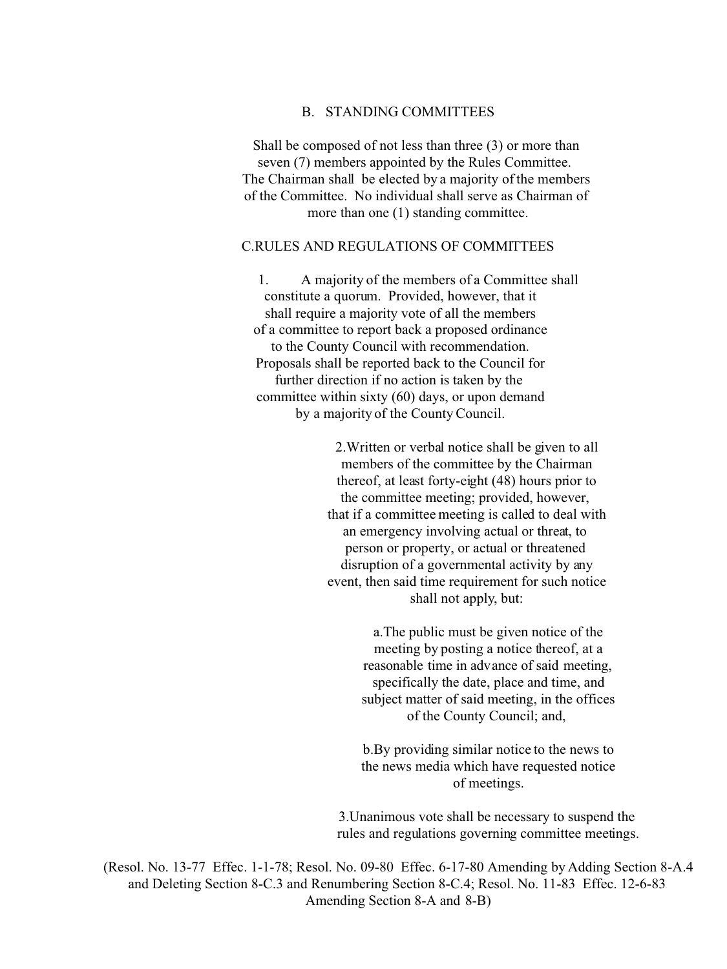## B. STANDING COMMITTEES

 Shall be composed of not less than three (3) or more than seven (7) members appointed by the Rules Committee. The Chairman shall be elected by a majority of the members of the Committee. No individual shall serve as Chairman of more than one (1) standing committee.

#### C.RULES AND REGULATIONS OF COMMITTEES

 1. A majority of the members of a Committee shall constitute a quorum. Provided, however, that it shall require a majority vote of all the members of a committee to report back a proposed ordinance to the County Council with recommendation. Proposals shall be reported back to the Council for further direction if no action is taken by the committee within sixty (60) days, or upon demand by a majority of the County Council.

> 2.Written or verbal notice shall be given to all members of the committee by the Chairman thereof, at least forty-eight (48) hours prior to the committee meeting; provided, however, that if a committee meeting is called to deal with an emergency involving actual or threat, to person or property, or actual or threatened disruption of a governmental activity by any event, then said time requirement for such notice shall not apply, but:

> > a.The public must be given notice of the meeting by posting a notice thereof, at a reasonable time in advance of said meeting, specifically the date, place and time, and subject matter of said meeting, in the offices of the County Council; and,

> > b.By providing similar notice to the news to the news media which have requested notice of meetings.

3.Unanimous vote shall be necessary to suspend the rules and regulations governing committee meetings.

(Resol. No. 13-77 Effec. 1-1-78; Resol. No. 09-80 Effec. 6-17-80 Amending by Adding Section 8-A.4 and Deleting Section 8-C.3 and Renumbering Section 8-C.4; Resol. No. 11-83 Effec. 12-6-83 Amending Section 8-A and 8-B)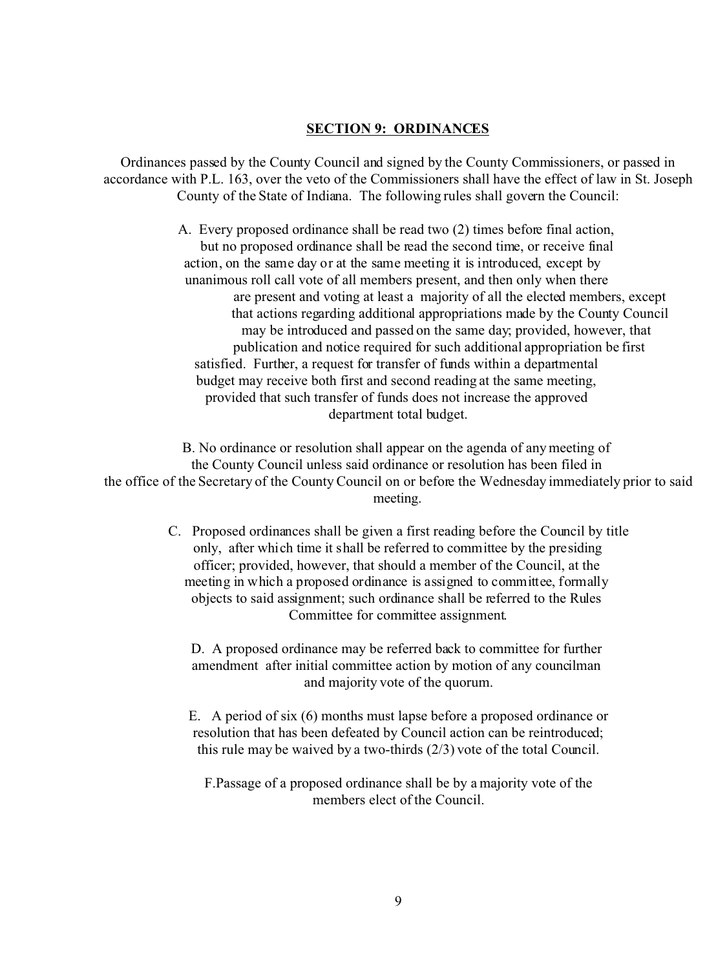## **SECTION 9: ORDINANCES**

Ordinances passed by the County Council and signed by the County Commissioners, or passed in accordance with P.L. 163, over the veto of the Commissioners shall have the effect of law in St. Joseph County of the State of Indiana. The following rules shall govern the Council:

> A. Every proposed ordinance shall be read two (2) times before final action, but no proposed ordinance shall be read the second time, or receive final action, on the same day or at the same meeting it is introduced, except by unanimous roll call vote of all members present, and then only when there are present and voting at least a majority of all the elected members, except that actions regarding additional appropriations made by the County Council may be introduced and passed on the same day; provided, however, that publication and notice required for such additional appropriation be first satisfied. Further, a request for transfer of funds within a departmental budget may receive both first and second reading at the same meeting, provided that such transfer of funds does not increase the approved department total budget.

B. No ordinance or resolution shall appear on the agenda of any meeting of the County Council unless said ordinance or resolution has been filed in the office of the Secretary of the County Council on or before the Wednesday immediately prior to said meeting.

> C. Proposed ordinances shall be given a first reading before the Council by title only, after which time it shall be referred to committee by the presiding officer; provided, however, that should a member of the Council, at the meeting in which a proposed ordinance is assigned to committee, formally objects to said assignment; such ordinance shall be referred to the Rules Committee for committee assignment.

D. A proposed ordinance may be referred back to committee for further amendment after initial committee action by motion of any councilman and majority vote of the quorum.

E. A period of six (6) months must lapse before a proposed ordinance or resolution that has been defeated by Council action can be reintroduced; this rule may be waived by a two-thirds (2/3) vote of the total Council.

F.Passage of a proposed ordinance shall be by a majority vote of the members elect of the Council.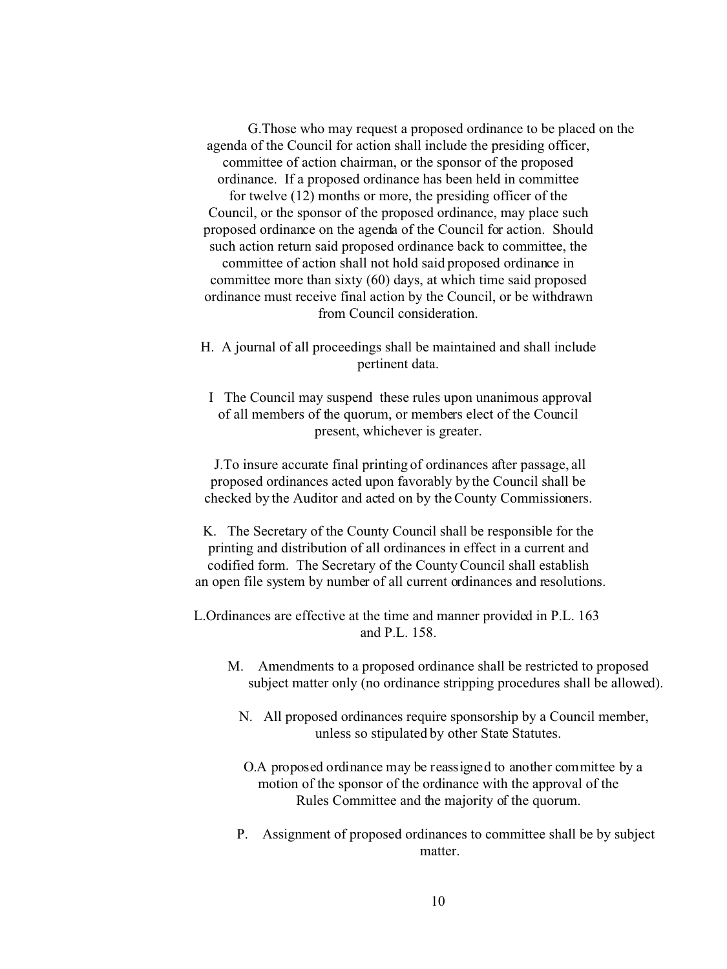G.Those who may request a proposed ordinance to be placed on the agenda of the Council for action shall include the presiding officer, committee of action chairman, or the sponsor of the proposed ordinance. If a proposed ordinance has been held in committee for twelve (12) months or more, the presiding officer of the Council, or the sponsor of the proposed ordinance, may place such proposed ordinance on the agenda of the Council for action. Should such action return said proposed ordinance back to committee, the committee of action shall not hold said proposed ordinance in committee more than sixty (60) days, at which time said proposed ordinance must receive final action by the Council, or be withdrawn from Council consideration.

- H. A journal of all proceedings shall be maintained and shall include pertinent data.
	- I The Council may suspend these rules upon unanimous approval of all members of the quorum, or members elect of the Council present, whichever is greater.

 J.To insure accurate final printing of ordinances after passage, all proposed ordinances acted upon favorably by the Council shall be checked by the Auditor and acted on by the County Commissioners.

 K. The Secretary of the County Council shall be responsible for the printing and distribution of all ordinances in effect in a current and codified form. The Secretary of the County Council shall establish an open file system by number of all current ordinances and resolutions.

L.Ordinances are effective at the time and manner provided in P.L. 163 and P.L. 158.

- M. Amendments to a proposed ordinance shall be restricted to proposed subject matter only (no ordinance stripping procedures shall be allowed).
	- N. All proposed ordinances require sponsorship by a Council member, unless so stipulated by other State Statutes.
	- O.A proposed ordinance may be reassigned to another committee by a motion of the sponsor of the ordinance with the approval of the Rules Committee and the majority of the quorum.
	- P. Assignment of proposed ordinances to committee shall be by subject matter.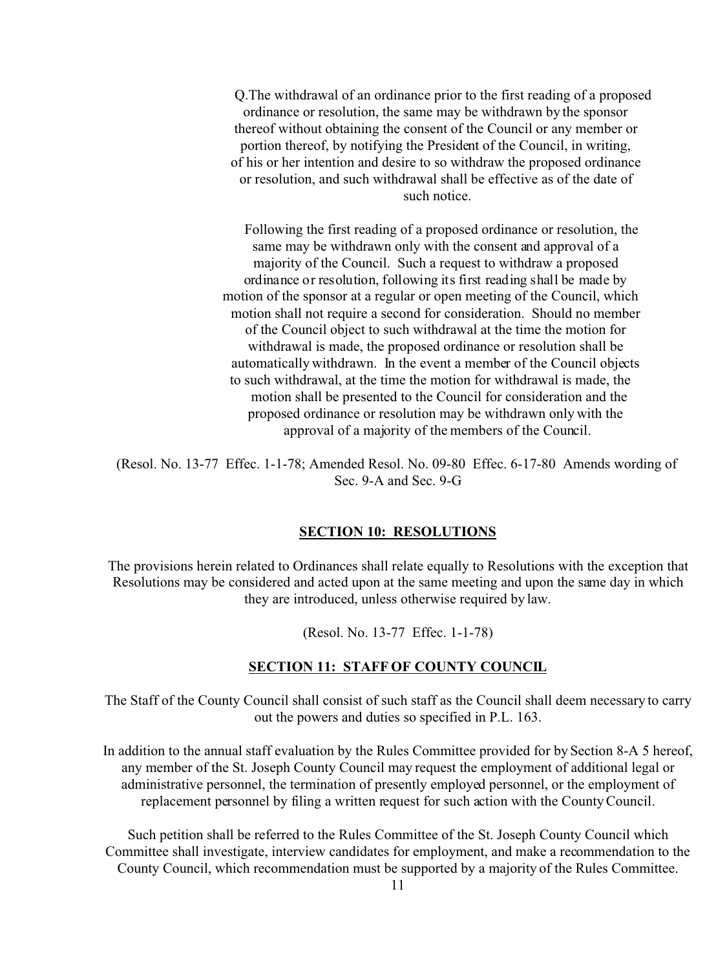Q.The withdrawal of an ordinance prior to the first reading of a proposed ordinance or resolution, the same may be withdrawn by the sponsor thereof without obtaining the consent of the Council or any member or portion thereof, by notifying the President of the Council, in writing, of his or her intention and desire to so withdraw the proposed ordinance or resolution, and such withdrawal shall be effective as of the date of such notice.

 Following the first reading of a proposed ordinance or resolution, the same may be withdrawn only with the consent and approval of a majority of the Council. Such a request to withdraw a proposed ordinance or resolution, following its first reading shall be made by motion of the sponsor at a regular or open meeting of the Council, which motion shall not require a second for consideration. Should no member of the Council object to such withdrawal at the time the motion for withdrawal is made, the proposed ordinance or resolution shall be automatically withdrawn. In the event a member of the Council objects to such withdrawal, at the time the motion for withdrawal is made, the motion shall be presented to the Council for consideration and the proposed ordinance or resolution may be withdrawn only with the approval of a majority of the members of the Council.

(Resol. No. 13-77 Effec. 1-1-78; Amended Resol. No. 09-80 Effec. 6-17-80 Amends wording of Sec. 9-A and Sec. 9-G

# **SECTION 10: RESOLUTIONS**

The provisions herein related to Ordinances shall relate equally to Resolutions with the exception that Resolutions may be considered and acted upon at the same meeting and upon the same day in which they are introduced, unless otherwise required by law.

(Resol. No. 13-77 Effec. 1-1-78)

### **SECTION 11: STAFF OF COUNTY COUNCIL**

The Staff of the County Council shall consist of such staff as the Council shall deem necessary to carry out the powers and duties so specified in P.L. 163.

In addition to the annual staff evaluation by the Rules Committee provided for by Section 8-A 5 hereof, any member of the St. Joseph County Council may request the employment of additional legal or administrative personnel, the termination of presently employed personnel, or the employment of replacement personnel by filing a written request for such action with the County Council.

Such petition shall be referred to the Rules Committee of the St. Joseph County Council which Committee shall investigate, interview candidates for employment, and make a recommendation to the County Council, which recommendation must be supported by a majority of the Rules Committee.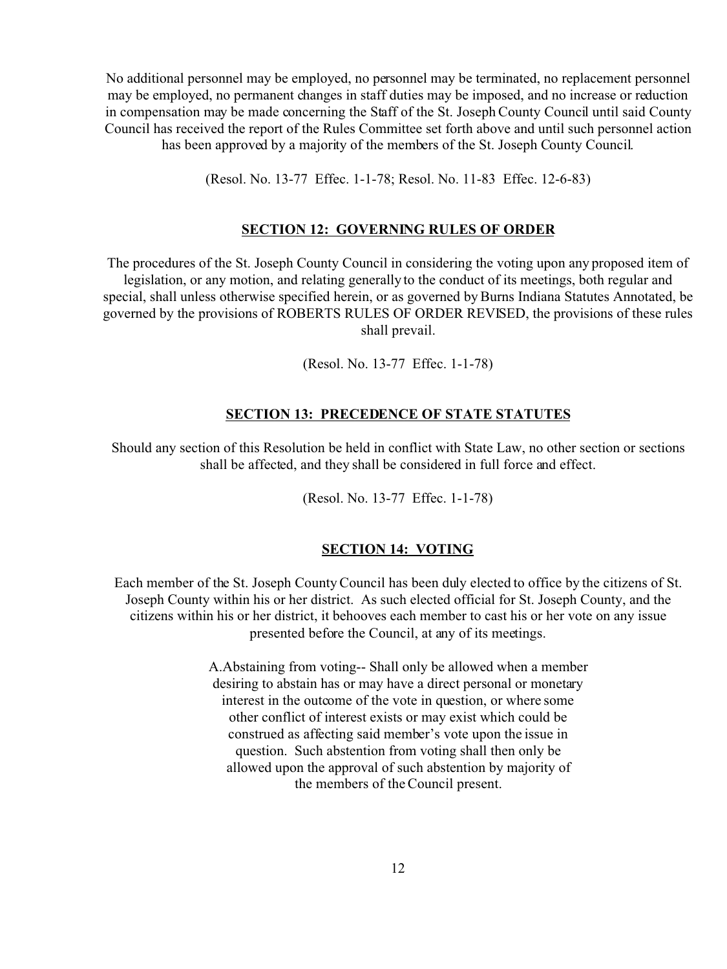No additional personnel may be employed, no personnel may be terminated, no replacement personnel may be employed, no permanent changes in staff duties may be imposed, and no increase or reduction in compensation may be made concerning the Staff of the St. Joseph County Council until said County Council has received the report of the Rules Committee set forth above and until such personnel action has been approved by a majority of the members of the St. Joseph County Council.

(Resol. No. 13-77 Effec. 1-1-78; Resol. No. 11-83 Effec. 12-6-83)

#### **SECTION 12: GOVERNING RULES OF ORDER**

The procedures of the St. Joseph County Council in considering the voting upon any proposed item of legislation, or any motion, and relating generally to the conduct of its meetings, both regular and special, shall unless otherwise specified herein, or as governed by Burns Indiana Statutes Annotated, be governed by the provisions of ROBERTS RULES OF ORDER REVISED, the provisions of these rules shall prevail.

(Resol. No. 13-77 Effec. 1-1-78)

#### **SECTION 13: PRECEDENCE OF STATE STATUTES**

Should any section of this Resolution be held in conflict with State Law, no other section or sections shall be affected, and they shall be considered in full force and effect.

(Resol. No. 13-77 Effec. 1-1-78)

#### **SECTION 14: VOTING**

Each member of the St. Joseph County Council has been duly elected to office by the citizens of St. Joseph County within his or her district. As such elected official for St. Joseph County, and the citizens within his or her district, it behooves each member to cast his or her vote on any issue presented before the Council, at any of its meetings.

> A.Abstaining from voting-- Shall only be allowed when a member desiring to abstain has or may have a direct personal or monetary interest in the outcome of the vote in question, or where some other conflict of interest exists or may exist which could be construed as affecting said member's vote upon the issue in question. Such abstention from voting shall then only be allowed upon the approval of such abstention by majority of the members of the Council present.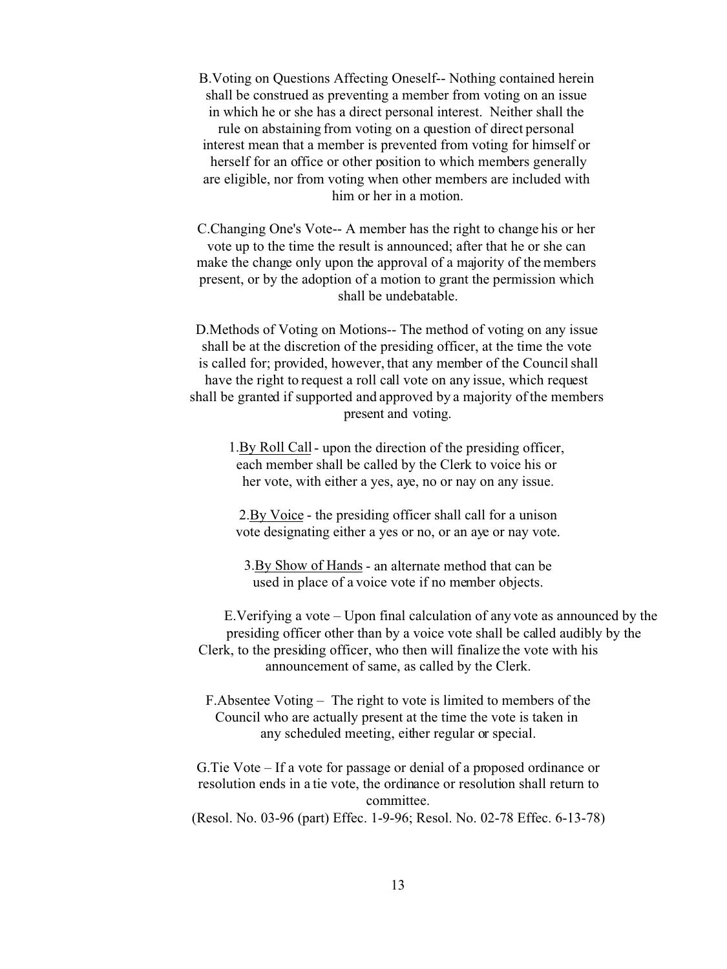B.Voting on Questions Affecting Oneself-- Nothing contained herein shall be construed as preventing a member from voting on an issue in which he or she has a direct personal interest. Neither shall the rule on abstaining from voting on a question of direct personal interest mean that a member is prevented from voting for himself or herself for an office or other position to which members generally are eligible, nor from voting when other members are included with him or her in a motion.

C.Changing One's Vote-- A member has the right to change his or her vote up to the time the result is announced; after that he or she can make the change only upon the approval of a majority of the members present, or by the adoption of a motion to grant the permission which shall be undebatable.

D.Methods of Voting on Motions-- The method of voting on any issue shall be at the discretion of the presiding officer, at the time the vote is called for; provided, however, that any member of the Council shall have the right to request a roll call vote on any issue, which request shall be granted if supported and approved by a majority of the members present and voting.

1.By Roll Call - upon the direction of the presiding officer, each member shall be called by the Clerk to voice his or her vote, with either a yes, aye, no or nay on any issue.

2.By Voice - the presiding officer shall call for a unison vote designating either a yes or no, or an aye or nay vote.

3.By Show of Hands - an alternate method that can be used in place of a voice vote if no member objects.

 E.Verifying a vote – Upon final calculation of any vote as announced by the presiding officer other than by a voice vote shall be called audibly by the Clerk, to the presiding officer, who then will finalize the vote with his announcement of same, as called by the Clerk.

F.Absentee Voting – The right to vote is limited to members of the Council who are actually present at the time the vote is taken in any scheduled meeting, either regular or special.

G.Tie Vote – If a vote for passage or denial of a proposed ordinance or resolution ends in a tie vote, the ordinance or resolution shall return to committee. (Resol. No. 03-96 (part) Effec. 1-9-96; Resol. No. 02-78 Effec. 6-13-78)